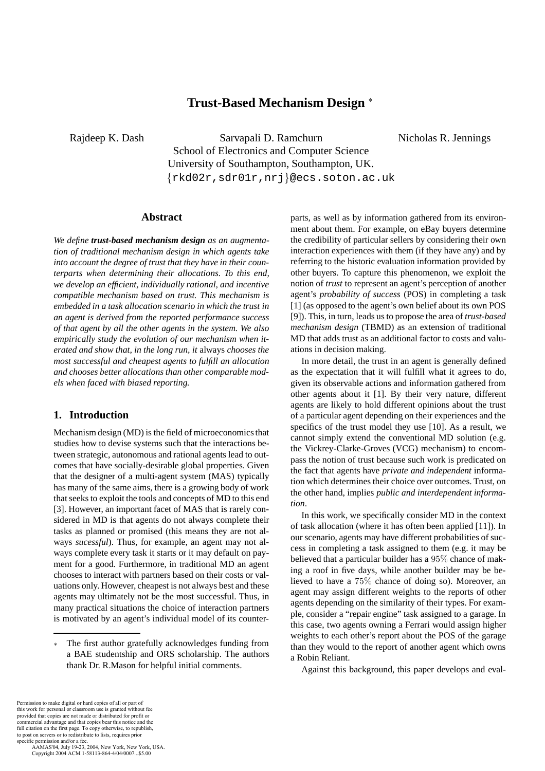# **Trust-Based Mechanism Design** <sup>∗</sup>

Rajdeep K. Dash Sarvapali D. Ramchurn School of Electronics and Computer Science University of Southampton, Southampton, UK. {rkd02r,sdr01r,nrj}@ecs.soton.ac.uk

## **Abstract**

*We define trust-based mechanism design as an augmentation of traditional mechanism design in which agents take into account the degree of trust that they have in their counterparts when determining their allocations. To this end, we develop an efficient, individually rational, and incentive compatible mechanism based on trust. This mechanism is embedded in a task allocation scenario in which the trust in an agent is derived from the reported performance success of that agent by all the other agents in the system. We also empirically study the evolution of our mechanism when iterated and show that, in the long run, it* always *chooses the most successful and cheapest agents to fulfill an allocation and chooses better allocations than other comparable models when faced with biased reporting.*

## **1. Introduction**

Mechanism design (MD) is the field of microeconomics that studies how to devise systems such that the interactions between strategic, autonomous and rational agents lead to outcomes that have socially-desirable global properties. Given that the designer of a multi-agent system (MAS) typically has many of the same aims, there is a growing body of work that seeks to exploit the tools and concepts of MD to this end [3]. However, an important facet of MAS that is rarely considered in MD is that agents do not always complete their tasks as planned or promised (this means they are not always *sucessful*). Thus, for example, an agent may not always complete every task it starts or it may default on payment for a good. Furthermore, in traditional MD an agent chooses to interact with partners based on their costs or valuations only. However, cheapest is not always best and these agents may ultimately not be the most successful. Thus, in many practical situations the choice of interaction partners is motivated by an agent's individual model of its counterparts, as well as by information gathered from its environment about them. For example, on eBay buyers determine the credibility of particular sellers by considering their own interaction experiences with them (if they have any) and by referring to the historic evaluation information provided by other buyers. To capture this phenomenon, we exploit the notion of *trust* to represent an agent's perception of another agent's *probability of success* (POS) in completing a task [1] (as opposed to the agent's own belief about its own POS [9]). This, in turn, leads us to propose the area of *trust-based mechanism design* (TBMD) as an extension of traditional MD that adds trust as an additional factor to costs and valuations in decision making.

Nicholas R. Jennings

In more detail, the trust in an agent is generally defined as the expectation that it will fulfill what it agrees to do, given its observable actions and information gathered from other agents about it [1]. By their very nature, different agents are likely to hold different opinions about the trust of a particular agent depending on their experiences and the specifics of the trust model they use [10]. As a result, we cannot simply extend the conventional MD solution (e.g. the Vickrey-Clarke-Groves (VCG) mechanism) to encompass the notion of trust because such work is predicated on the fact that agents have *private and independent* information which determines their choice over outcomes. Trust, on the other hand, implies *public and interdependent information*.

In this work, we specifically consider MD in the context of task allocation (where it has often been applied [11]). In our scenario, agents may have different probabilities of success in completing a task assigned to them (e.g. it may be believed that a particular builder has a 95% chance of making a roof in five days, while another builder may be believed to have a 75% chance of doing so). Moreover, an agent may assign different weights to the reports of other agents depending on the similarity of their types. For example, consider a "repair engine" task assigned to a garage. In this case, two agents owning a Ferrari would assign higher weights to each other's report about the POS of the garage than they would to the report of another agent which owns a Robin Reliant.

Against this background, this paper develops and eval-

The first author gratefully acknowledges funding from a BAE studentship and ORS scholarship. The authors thank Dr. R.Mason for helpful initial comments.

Permission to make digital or hard copies of all or part of this work for personal or classroom use is granted without fee provided that copies are not made or distributed for profit or commercial advantage and that copies bear this notice and the full citation on the first page. To copy otherwise, to republish, to post on servers or to redistribute to lists, requires prior specific permission and/or a fee.

AAMAS'04, July 19-23, 2004, New York, New York, USA. Copyright 2004 ACM 1-58113-864-4/04/0007...\$5.00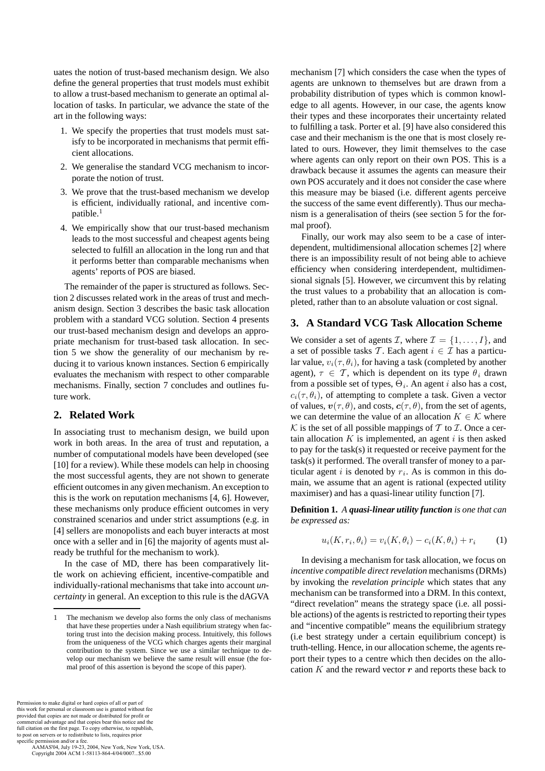uates the notion of trust-based mechanism design. We also define the general properties that trust models must exhibit to allow a trust-based mechanism to generate an optimal allocation of tasks. In particular, we advance the state of the art in the following ways:

- 1. We specify the properties that trust models must satisfy to be incorporated in mechanisms that permit efficient allocations.
- 2. We generalise the standard VCG mechanism to incorporate the notion of trust.
- 3. We prove that the trust-based mechanism we develop is efficient, individually rational, and incentive compatible.<sup>1</sup>
- 4. We empirically show that our trust-based mechanism leads to the most successful and cheapest agents being selected to fulfill an allocation in the long run and that it performs better than comparable mechanisms when agents' reports of POS are biased.

The remainder of the paper is structured as follows. Section 2 discusses related work in the areas of trust and mechanism design. Section 3 describes the basic task allocation problem with a standard VCG solution. Section 4 presents our trust-based mechanism design and develops an appropriate mechanism for trust-based task allocation. In section 5 we show the generality of our mechanism by reducing it to various known instances. Section 6 empirically evaluates the mechanism with respect to other comparable mechanisms. Finally, section 7 concludes and outlines future work.

## **2. Related Work**

In associating trust to mechanism design, we build upon work in both areas. In the area of trust and reputation, a number of computational models have been developed (see [10] for a review). While these models can help in choosing the most successful agents, they are not shown to generate efficient outcomes in any given mechanism. An exception to this is the work on reputation mechanisms [4, 6]. However, these mechanisms only produce efficient outcomes in very constrained scenarios and under strict assumptions (e.g. in [4] sellers are monopolists and each buyer interacts at most once with a seller and in [6] the majority of agents must already be truthful for the mechanism to work).

In the case of MD, there has been comparatively little work on achieving efficient, incentive-compatible and individually-rational mechanisms that take into account *uncertainty* in general. An exception to this rule is the dAGVA

Permission to make digital or hard copies of all or part of this work for personal or classroom use is granted without fee provided that copies are not made or distributed for profit or commercial advantage and that copies bear this notice and the full citation on the first page. To copy otherwise, to republish, to post on servers or to redistribute to lists, requires prior specific permission and/or a fee.

 AAMAS'04, July 19-23, 2004, New York, New York, USA. Copyright 2004 ACM 1-58113-864-4/04/0007...\$5.00

mechanism [7] which considers the case when the types of agents are unknown to themselves but are drawn from a probability distribution of types which is common knowledge to all agents. However, in our case, the agents know their types and these incorporates their uncertainty related to fulfilling a task. Porter et al. [9] have also considered this case and their mechanism is the one that is most closely related to ours. However, they limit themselves to the case where agents can only report on their own POS. This is a drawback because it assumes the agents can measure their own POS accurately and it does not consider the case where this measure may be biased (i.e. different agents perceive the success of the same event differently). Thus our mechanism is a generalisation of theirs (see section 5 for the formal proof).

Finally, our work may also seem to be a case of interdependent, multidimensional allocation schemes [2] where there is an impossibility result of not being able to achieve efficiency when considering interdependent, multidimensional signals [5]. However, we circumvent this by relating the trust values to a probability that an allocation is completed, rather than to an absolute valuation or cost signal.

## **3. A Standard VCG Task Allocation Scheme**

We consider a set of agents *I*, where  $\mathcal{I} = \{1, \ldots, I\}$ , and a set of possible tasks T. Each agent  $i \in \mathcal{I}$  has a particular value,  $v_i(\tau, \theta_i)$ , for having a task (completed by another agent),  $\tau \in \mathcal{T}$ , which is dependent on its type  $\theta_i$  drawn from a possible set of types,  $\Theta_i$ . An agent i also has a cost,  $c_i(\tau, \theta_i)$ , of attempting to complete a task. Given a vector of values,  $v(\tau, \theta)$ , and costs,  $c(\tau, \theta)$ , from the set of agents, we can determine the value of an allocation  $K \in \mathcal{K}$  where  $K$  is the set of all possible mappings of T to I. Once a certain allocation  $K$  is implemented, an agent  $i$  is then asked to pay for the task(s) it requested or receive payment for the task(s) it performed. The overall transfer of money to a particular agent i is denoted by  $r_i$ . As is common in this domain, we assume that an agent is rational (expected utility maximiser) and has a quasi-linear utility function [7].

**Definition 1.** *A quasi-linear utility function is one that can be expressed as:*

$$
u_i(K, r_i, \theta_i) = v_i(K, \theta_i) - c_i(K, \theta_i) + r_i \tag{1}
$$

In devising a mechanism for task allocation, we focus on *incentive compatible direct revelation* mechanisms (DRMs) by invoking the *revelation principle* which states that any mechanism can be transformed into a DRM. In this context, "direct revelation" means the strategy space (i.e. all possible actions) of the agents is restricted to reporting their types and "incentive compatible" means the equilibrium strategy (i.e best strategy under a certain equilibrium concept) is truth-telling. Hence, in our allocation scheme, the agents report their types to a centre which then decides on the allocation  $K$  and the reward vector  $r$  and reports these back to

<sup>1</sup> The mechanism we develop also forms the only class of mechanisms that have these properties under a Nash equilibrium strategy when factoring trust into the decision making process. Intuitively, this follows from the uniqueness of the VCG which charges agents their marginal contribution to the system. Since we use a similar technique to develop our mechanism we believe the same result will ensue (the formal proof of this assertion is beyond the scope of this paper).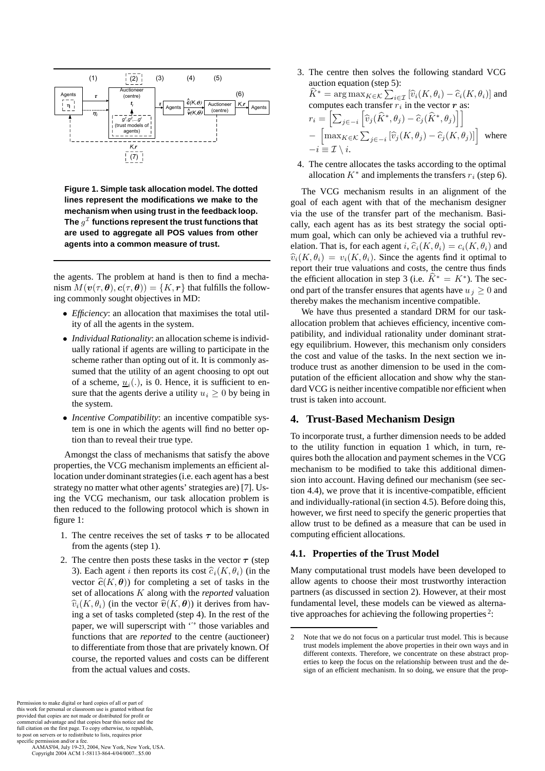

**Figure 1. Simple task allocation model. The dotted lines represent the modifications we make to the mechanism when using trust in the feedback loop.** The  $g<sup>T</sup>$  functions represent the trust functions that **are used to aggregate all POS values from other agents into a common measure of trust.**

the agents. The problem at hand is then to find a mechanism  $M(\mathbf{v}(\tau,\boldsymbol{\theta}),\mathbf{c}(\tau,\boldsymbol{\theta})) = \{K,\mathbf{r}\}\$ that fulfills the following commonly sought objectives in MD:

- *Efficiency*: an allocation that maximises the total utility of all the agents in the system.
- *Individual Rationality*: an allocation scheme is individually rational if agents are willing to participate in the scheme rather than opting out of it. It is commonly assumed that the utility of an agent choosing to opt out of a scheme,  $u_i(.)$ , is 0. Hence, it is sufficient to ensure that the agents derive a utility  $u_i \geq 0$  by being in the system.
- *Incentive Compatibility*: an incentive compatible system is one in which the agents will find no better option than to reveal their true type.

Amongst the class of mechanisms that satisfy the above properties, the VCG mechanism implements an efficient allocation under dominant strategies (i.e. each agent has a best strategy no matter what other agents' strategies are) [7]. Using the VCG mechanism, our task allocation problem is then reduced to the following protocol which is shown in figure 1:

- 1. The centre receives the set of tasks *τ* to be allocated from the agents (step 1).
- 2. The centre then posts these tasks in the vector  $\tau$  (step) 3). Each agent i then reports its cost  $\widehat{c}_i(K, \theta_i)$  (in the vector  $\hat{\mathbf{c}}(K, \theta)$ ) for completing a set of tasks in the set of allocations K along with the *reported* valuation  $\widehat{v}_i(K, \theta_i)$  (in the vector  $\widehat{v}(K, \theta)$ ) it derives from having a set of tasks completed (step 4). In the rest of the paper, we will superscript with  $\dddot{\cdot}$  those variables and functions that are *reported* to the centre (auctioneer) to differentiate from those that are privately known. Of course, the reported values and costs can be different from the actual values and costs.
- 3. The centre then solves the following standard VCG auction equation (step 5):  $\widehat{K}^* = \arg \max_{K \in \mathcal{K}} \sum_{i \in \mathcal{I}} \left[ \widehat{v}_i(K, \theta_i) - \widehat{c}_i(K, \theta_i) \right]$  and computes each transfer r, in the vector r as: computes each transfer  $r_i$  in the vector *r* as:  $r_i =$  $\Bigl[ \sum_{j \in -i}$  $\left[ \widehat{v}_{j}(\widehat{K}^{*}, \theta_{j}) - \widehat{c}_{j}(\widehat{K}^{*}, \theta_{j}) \right]$  $-\left[\max_{K\in\mathcal{K}}\sum_{j\in-i}\left[\hat{v}_j(K,\theta_j)-\hat{c}_j(K,\theta_j)\right]\right]$  where
- 4. The centre allocates the tasks according to the optimal allocation  $K^*$  and implements the transfers  $r_i$  (step 6).

 $-i \equiv \mathcal{I} \setminus i$ .

The VCG mechanism results in an alignment of the goal of each agent with that of the mechanism designer via the use of the transfer part of the mechanism. Basically, each agent has as its best strategy the social optimum goal, which can only be achieved via a truthful revelation. That is, for each agent i,  $\hat{c}_i(K, \theta_i) = c_i(K, \theta_i)$  and  $\widehat{v}_i(K, \theta_i) = v_i(K, \theta_i)$ . Since the agents find it optimal to report their true valuations and costs, the centre thus finds the efficient allocation in step 3 (i.e.  $\hat{K}^* = K^*$ ). The second part of the transfer ensures that agents have  $u_i \geq 0$  and thereby makes the mechanism incentive compatible.

We have thus presented a standard DRM for our taskallocation problem that achieves efficiency, incentive compatibility, and individual rationality under dominant strategy equilibrium. However, this mechanism only considers the cost and value of the tasks. In the next section we introduce trust as another dimension to be used in the computation of the efficient allocation and show why the standard VCG is neither incentive compatible nor efficient when trust is taken into account.

## **4. Trust-Based Mechanism Design**

To incorporate trust, a further dimension needs to be added to the utility function in equation 1 which, in turn, requires both the allocation and payment schemes in the VCG mechanism to be modified to take this additional dimension into account. Having defined our mechanism (see section 4.4), we prove that it is incentive-compatible, efficient and individually-rational (in section 4.5). Before doing this, however, we first need to specify the generic properties that allow trust to be defined as a measure that can be used in computing efficient allocations.

### **4.1. Properties of the Trust Model**

Many computational trust models have been developed to allow agents to choose their most trustworthy interaction partners (as discussed in section 2). However, at their most fundamental level, these models can be viewed as alternative approaches for achieving the following properties<sup>2</sup>:

 AAMAS'04, July 19-23, 2004, New York, New York, USA. Copyright 2004 ACM 1-58113-864-4/04/0007...\$5.00

<sup>2</sup> Note that we do not focus on a particular trust model. This is because trust models implement the above properties in their own ways and in different contexts. Therefore, we concentrate on these abstract properties to keep the focus on the relationship between trust and the design of an efficient mechanism. In so doing, we ensure that the prop-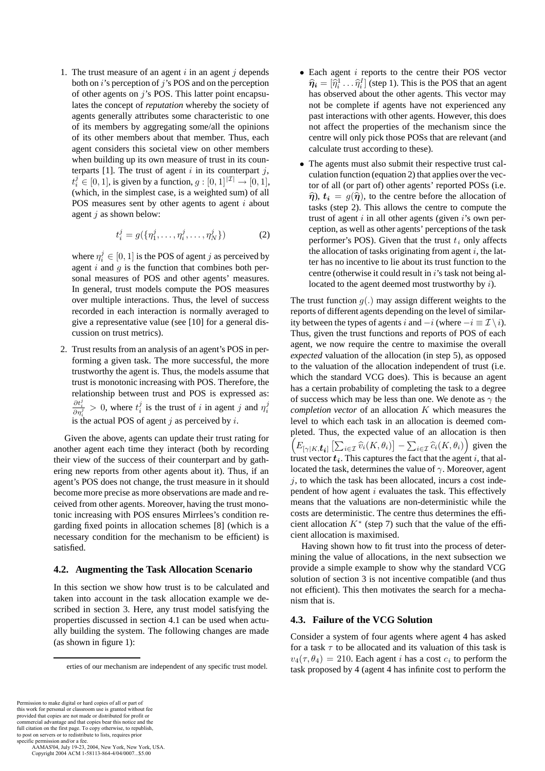1. The trust measure of an agent  $i$  in an agent  $j$  depends both on  $i$ 's perception of  $j$ 's POS and on the perception of other agents on  $j$ 's POS. This latter point encapsulates the concept of *reputation* whereby the society of agents generally attributes some characteristic to one of its members by aggregating some/all the opinions of its other members about that member. Thus, each agent considers this societal view on other members when building up its own measure of trust in its counterparts [1]. The trust of agent i in its counterpart j,  $\left(\text{which, in the simplest case, is a weighted sum}\right)$  of all  $j \in [0, 1]$ , is given by a function,  $g : [0, 1]^{|{\mathcal{I}}|} \to [0, 1]$ ,<br>which in the simplest case is a weighted sum) of all POS measures sent by other agents to agent  $i$  about agent  $j$  as shown below:

$$
t_i^j = g(\{\eta_1^j, \dots, \eta_i^j, \dots, \eta_N^j\})
$$
 (2)

where  $\eta_i^j \in [0, 1]$  is the POS of agent j as perceived by<br>agent i and q is the function that combines both peragent  $i$  and  $g$  is the function that combines both personal measures of POS and other agents' measures. In general, trust models compute the POS measures over multiple interactions. Thus, the level of success recorded in each interaction is normally averaged to give a representative value (see [10] for a general discussion on trust metrics).

2. Trust results from an analysis of an agent's POS in performing a given task. The more successful, the more trustworthy the agent is. Thus, the models assume that trust is monotonic increasing with POS. Therefore, the relationship between trust and POS is expressed as:  $\frac{\partial t_i^j}{\partial \eta_i^j} > 0$ , where  $t_i^j$  is the trust of *i* in agent *j* and  $\eta_i^j$ is the actual POS of agent  $j$  as perceived by  $i$ .

Given the above, agents can update their trust rating for another agent each time they interact (both by recording their view of the success of their counterpart and by gathering new reports from other agents about it). Thus, if an agent's POS does not change, the trust measure in it should become more precise as more observations are made and received from other agents. Moreover, having the trust monotonic increasing with POS ensures Mirrlees's condition regarding fixed points in allocation schemes [8] (which is a necessary condition for the mechanism to be efficient) is satisfied.

### **4.2. Augmenting the Task Allocation Scenario**

In this section we show how trust is to be calculated and taken into account in the task allocation example we described in section 3. Here, any trust model satisfying the properties discussed in section 4.1 can be used when actually building the system. The following changes are made (as shown in figure 1):

- $\bullet$  Each agent *i* reports to the centre their POS vector  $\hat{\eta}_i = [\hat{\eta}_i^1 \dots \hat{\eta}_i^I]$  (step 1). This is the POS that an agent<br>has observed about the other agents. This vector may has observed about the other agents. This vector may not be complete if agents have not experienced any past interactions with other agents. However, this does not affect the properties of the mechanism since the centre will only pick those POSs that are relevant (and calculate trust according to these).
- The agents must also submit their respective trust calculation function (equation 2) that applies over the vector of all (or part of) other agents' reported POSs (i.e.  $\hat{\eta}$ ,  $t_i = q(\hat{\eta})$ , to the centre before the allocation of tasks (step 2). This allows the centre to compute the trust of agent  $i$  in all other agents (given  $i$ 's own perception, as well as other agents' perceptions of the task performer's POS). Given that the trust  $t_i$  only affects the allocation of tasks originating from agent  $i$ , the latter has no incentive to lie about its trust function to the centre (otherwise it could result in  $i$ 's task not being allocated to the agent deemed most trustworthy by i).

The trust function  $q(.)$  may assign different weights to the reports of different agents depending on the level of similarity between the types of agents i and  $-i$  (where  $-i \equiv \mathcal{I} \setminus i$ ). Thus, given the trust functions and reports of POS of each agent, we now require the centre to maximise the overall *expected* valuation of the allocation (in step 5), as opposed to the valuation of the allocation independent of trust (i.e. which the standard VCG does). This is because an agent has a certain probability of completing the task to a degree of success which may be less than one. We denote as  $\gamma$  the *completion vector* of an allocation K which measures the level to which each task in an allocation is deemed completed. Thus, the expected value of an allocation is then 7  $E_{\left[\gamma|K,\boldsymbol{t_i}\right]} \left[\sum_{i\in\mathcal{I}} \widehat{v}_i(K,\theta_i)\right] - \sum_{i\in\mathcal{I}} \widehat{c}_i(K,\theta_i)$ ) given the trust vector  $t_i$ . This captures the fact that the agent i, that allocated the task, determines the value of  $\gamma$ . Moreover, agent  $i$ , to which the task has been allocated, incurs a cost independent of how agent  $i$  evaluates the task. This effectively means that the valuations are non-deterministic while the costs are deterministic. The centre thus determines the efficient allocation  $K^*$  (step 7) such that the value of the efficient allocation is maximised.

Having shown how to fit trust into the process of determining the value of allocations, in the next subsection we provide a simple example to show why the standard VCG solution of section 3 is not incentive compatible (and thus not efficient). This then motivates the search for a mechanism that is.

## **4.3. Failure of the VCG Solution**

Consider a system of four agents where agent 4 has asked for a task  $\tau$  to be allocated and its valuation of this task is  $v_4(\tau,\theta_4) = 210$ . Each agent *i* has a cost  $c_i$  to perform the task proposed by 4 (agent 4 has infinite cost to perform the

erties of our mechanism are independent of any specific trust model.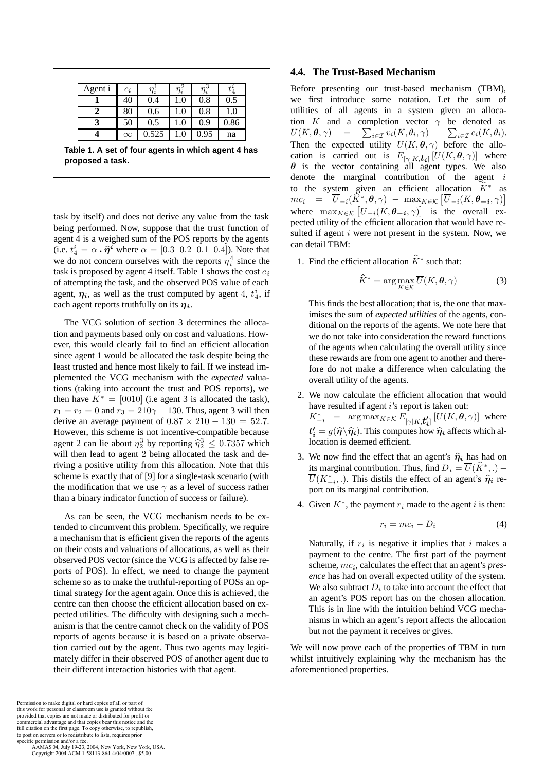| Agent i | $c_i$    |       | $\eta_i$ | $\eta_i$ |      |
|---------|----------|-------|----------|----------|------|
|         | 40       | 0.4   | 1.0      | 0.8      | 0.5  |
|         | 80       | 0.6   | 1.0      | 0.8      | 1.0  |
|         | 50       | 0.5   | 1.0      | 0.9      | 0.86 |
|         | $\infty$ | 0.525 | l.C      | 0.95     | na   |

**Table 1. A set of four agents in which agent 4 has proposed a task.**

task by itself) and does not derive any value from the task being performed. Now, suppose that the trust function of agent 4 is a weighed sum of the POS reports by the agents (i.e.  $t_4^i = \alpha \cdot \hat{\eta}^i$  where  $\alpha = [0.3 \ 0.2 \ 0.1 \ 0.4]$ ). Note that we do not concern ourselves with the reports  $n^4$  since the we do not concern ourselves with the reports  $\eta_i^4$  since the rest contains the report of the rest contained to the rest contained the rest contained the cost contained the contained the contained the contained the conta task is proposed by agent 4 itself. Table 1 shows the cost  $c_i$ of attempting the task, and the observed POS value of each agent,  $\eta_i$ , as well as the trust computed by agent 4,  $t_4^i$ , if each agent reports truthfully on its *ηi*.

The VCG solution of section 3 determines the allocation and payments based only on cost and valuations. However, this would clearly fail to find an efficient allocation since agent 1 would be allocated the task despite being the least trusted and hence most likely to fail. If we instead implemented the VCG mechanism with the *expected* valuations (taking into account the trust and POS reports), we then have  $K^* = [0010]$  (i.e agent 3 is allocated the task),  $r_1 = r_2 = 0$  and  $r_3 = 210\gamma - 130$ . Thus, agent 3 will then derive an average payment of  $0.87 \times 210 - 130 = 52.7$ . However, this scheme is not incentive-compatible because agent 2 can lie about  $\eta_2^3$  by reporting  $\hat{\eta}_2^3 \leq 0.7357$  which<br>will then lead to agent 2 being allocated the task and dewill then lead to agent 2 being allocated the task and deriving a positive utility from this allocation. Note that this scheme is exactly that of [9] for a single-task scenario (with the modification that we use  $\gamma$  as a level of success rather than a binary indicator function of success or failure).

As can be seen, the VCG mechanism needs to be extended to circumvent this problem. Specifically, we require a mechanism that is efficient given the reports of the agents on their costs and valuations of allocations, as well as their observed POS vector (since the VCG is affected by false reports of POS). In effect, we need to change the payment scheme so as to make the truthful-reporting of POSs an optimal strategy for the agent again. Once this is achieved, the centre can then choose the efficient allocation based on expected utilities. The difficulty with designing such a mechanism is that the centre cannot check on the validity of POS reports of agents because it is based on a private observation carried out by the agent. Thus two agents may legitimately differ in their observed POS of another agent due to their different interaction histories with that agent.

#### Permission to make digital or hard copies of all or part of this work for personal or classroom use is granted without fee provided that copies are not made or distributed for profit or commercial advantage and that copies bear this notice and the full citation on the first page. To copy otherwise, to republish, to post on servers or to redistribute to lists, requires prior specific permission and/or a fee.

 AAMAS'04, July 19-23, 2004, New York, New York, USA. Copyright 2004 ACM 1-58113-864-4/04/0007...\$5.00

### **4.4. The Trust-Based Mechanism**

Before presenting our trust-based mechanism (TBM), we first introduce some notation. Let the sum of utilities of all agents in a system given an allocation K and a completion vector  $\gamma$  be denoted as  $U(K, \theta, \gamma) = \sum_{i \in \mathcal{T}} v_i(K, \theta_i, \gamma) - \sum_{i \in \mathcal{T}} c_i(K, \theta_i)$ .  $U(K, \theta, \gamma) = \sum$ <br>Then the expected  $\sum_{i\in\mathcal{I}} v_i(K, \theta_i, \gamma) - \sum_{i\in\mathcal{I}} c_i(K, \theta_i).$ Then the expected utility  $U(K, \theta, \gamma)$  before the allo-<br>cation is carried out is  $F_{k+1}$ ,  $U[(K, \theta, \gamma)]$  where cation is carried out is  $E_{[\gamma|K,\boldsymbol{t}_{i}]}[U(K,\boldsymbol{\theta},\gamma)]$  where  $\boldsymbol{\theta}$  is the vector containing all agent types. We also denote the marginal contribution of the agent i to the system given an efficient allocation  $\hat{K}^*$  as  $mc_i = \overline{U}_{-i}(\widehat{K}^*, \theta, \gamma) - \max_{K \in \mathcal{K}} [\overline{U}_{-i}(K, \theta_{-i}, \gamma)]$ where  $\max_{K \in \mathcal{K}} [\overline{U}_{-i}(K, \theta_{-i}, \gamma)]$  is the overall ex-<br>pected utility of the efficient allocation that would have repected utility of the efficient allocation that would have resulted if agent  $i$  were not present in the system. Now, we can detail TBM:

1. Find the efficient allocation  $\hat{K}^*$  such that:

$$
\widehat{K}^* = \arg \max_{K \in \mathcal{K}} \overline{U}(K, \theta, \gamma)
$$
 (3)

This finds the best allocation; that is, the one that maximises the sum of *expected utilities* of the agents, conditional on the reports of the agents. We note here that we do not take into consideration the reward functions of the agents when calculating the overall utility since these rewards are from one agent to another and therefore do not make a difference when calculating the overall utility of the agents.

- 2. We now calculate the efficient allocation that would have resulted if agent  $i$ 's report is taken out:  $K_{-i}^*$  = arg max $_{K \in \mathcal{K}} E_{\left[\gamma | K, t_i'\right]} \left[U(K, \theta, \gamma)\right]$  where  $t'_i = g(\hat{\eta} \setminus \hat{\eta}_i)$ . This computes how  $\hat{\eta}_i$  affects which allocation is deemed efficient location is deemed efficient.
- 3. We now find the effect that an agent's  $\hat{\eta}_i$  has had on its marginal contribution. Thus, find  $D_i = \overline{U}(\hat{K}^*,.)$  –  $\overline{U}(K_{-i}^*,\cdot)$ . This distils the effect of an agent's  $\hat{\eta}_i$  report on its marginal contribution.
- 4. Given  $K^*$ , the payment  $r_i$  made to the agent i is then:

$$
r_i = mc_i - D_i \tag{4}
$$

Naturally, if  $r_i$  is negative it implies that i makes a payment to the centre. The first part of the payment scheme,  $mc<sub>i</sub>$ , calculates the effect that an agent's *presence* has had on overall expected utility of the system. We also subtract  $D_i$  to take into account the effect that an agent's POS report has on the chosen allocation. This is in line with the intuition behind VCG mechanisms in which an agent's report affects the allocation but not the payment it receives or gives.

We will now prove each of the properties of TBM in turn whilst intuitively explaining why the mechanism has the aforementioned properties.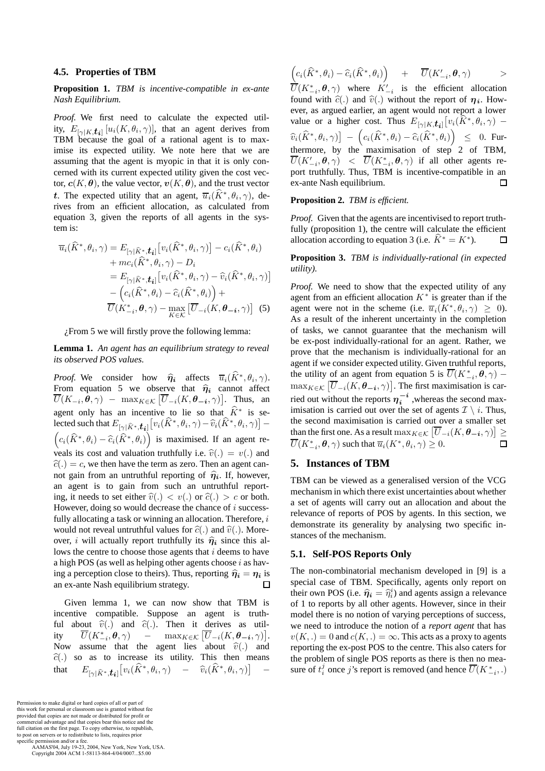#### **4.5. Properties of TBM**

**Proposition 1.** *TBM is incentive-compatible in ex-ante Nash Equilibrium.*

*Proof.* We first need to calculate the expected utility,  $E_{\left[\gamma|K,\boldsymbol{t}_{i}\right]}[u_{i}(K,\theta_{i},\gamma)]$ , that an agent derives from TBM because the goal of a rational agent is to maximise its expected utility. We note here that we are assuming that the agent is myopic in that it is only concerned with its current expected utility given the cost vector,  $c(K, \theta)$ , the value vector,  $v(K, \theta)$ , and the trust vector *t*. The expected utility that an agent,  $\overline{u}_i(\widehat{K}^*, \theta_i, \gamma)$ , derives from an efficient allocation, as calculated from equation 3, given the reports of all agents in the system is:

$$
\overline{u}_{i}(\widehat{K}^{*},\theta_{i},\gamma) = E_{\left[\gamma|\widehat{K}^{*},\boldsymbol{t}_{i}\right]} \left[v_{i}(\widehat{K}^{*},\theta_{i},\gamma)\right] - c_{i}(\widehat{K}^{*},\theta_{i}) \n+ mc_{i}(\widehat{K}^{*},\theta_{i},\gamma) - D_{i} \n= E_{\left[\gamma|\widehat{K}^{*},\boldsymbol{t}_{i}\right]} \left[v_{i}(\widehat{K}^{*},\theta_{i},\gamma) - \widehat{v}_{i}(\widehat{K}^{*},\theta_{i},\gamma)\right] \n- \left(c_{i}(\widehat{K}^{*},\theta_{i}) - \widehat{c}_{i}(\widehat{K}^{*},\theta_{i})\right) + \n\overline{U}(K_{-i}^{*},\boldsymbol{\theta},\gamma) - \max_{K \in \mathcal{K}} \left[\overline{U}_{-i}(K,\boldsymbol{\theta}_{-i},\gamma)\right] \tag{5}
$$

¿From 5 we will firstly prove the following lemma:

**Lemma 1.** *An agent has an equilibrium strategy to reveal its observed POS values.*

*Proof.* We consider how  $\hat{\eta}_i$  affects  $\overline{u}_i(\hat{K}^*, \theta_i, \gamma)$ . From equation 5 we observe that  $\hat{\eta}_i$  cannot affect  $\overline{U}(K_{-i}, \hat{\theta}, \gamma)$  – max $_{K \in \mathcal{K}}$   $[\overline{U}_{-i}(K, \theta_{-i}, \gamma)].$  Thus, an agent only has an incentive to lie so that  $K^*$  is se-<br>lected such that  $F \in \mathcal{F}$ ,  $\left[\psi(\hat{K}^* | \theta, \alpha) - \hat{\psi}(\hat{K}^* | \theta, \alpha)\right]$ lected such that  $E_{[\gamma]}[x^*, t_{\boldsymbol{i}}] \big[ v_i(\widehat{K}^*, \theta_i, \gamma) - \widehat{v}_i(\widehat{K}^*, \theta_i, \gamma) \big] (c_i(\widehat{K}^*, \theta_i) - \widehat{c}_i(\widehat{K}^*, \theta_i))$  is maximised. If an agent reveals its cost and valuation truthfully i.e.  $\hat{v}(.) = v(.)$  and  $\hat{c}(.) = c$ , we then have the term as zero. Then an agent cannot gain from an untruthful reporting of  $\hat{\eta}_i$ . If, however, an agent is to gain from such an untruthful reporting, it needs to set either  $\hat{v}(.) < v(.)$  or  $\hat{c}(.) > c$  or both. However, doing so would decrease the chance of i successfully allocating a task or winning an allocation. Therefore,  $i$ would not reveal untruthful values for  $\hat{c}(.)$  and  $\hat{v}(.)$ . Moreover, *i* will actually report truthfully its  $\hat{\eta}_i$  since this allows the centre to choose those agents that  $i$  deems to have a high POS (as well as helping other agents choose  $i$  as having a perception close to theirs). Thus, reporting  $\hat{\eta}_i = \eta_i$  is an ex-ante Nash equilibrium strategy. an ex-ante Nash equilibrium strategy.

Given lemma 1, we can now show that TBM is incentive compatible. Suppose an agent is truthful about  $\hat{v}(.)$  and  $\hat{c}(.)$ . Then it derives as util-<br>ity  $\overline{U}(K_{-i}^*, \theta, \gamma)$  -  $\max_{K \in \mathcal{K}} [\overline{U}_{-i}(K, \theta_{-i}, \gamma)].$ ity  $\overline{U}(K_{-i}^*, \theta, \gamma)$  –  $\max_{K \in \mathcal{K}}$  [<br>Now assume that the agent lies  $\overline{U}_{-i}(K, \theta_{-i}, \gamma)].$ Now assume that the agent lies about  $\hat{v}(.)$  and  $\hat{c}(.)$  so as to increase its utility. This then means  $\hat{c}(.)$  so as to increase its utility. This then means<br>that  $E_{\text{rel}} \hat{\epsilon}^* \star \mathcal{L}_1[v_i(\hat{K}^*, \theta_i, \gamma) - \hat{v}_i(\hat{K}^*, \theta_i, \gamma)]$ that  $E_{\left[\gamma \mid \widehat{K}^*, \boldsymbol{t_i} \right]}\left[v_i(\widehat{K}^*, \theta_i, \gamma) \quad - \quad \widehat{v}_i(\widehat{K}^*, \theta_i, \gamma) \right]$  –

Permission to make digital or hard copies of all or part of this work for personal or classroom use is granted without fee provided that copies are not made or distributed for profit or commercial advantage and that copies bear this notice and the full citation on the first page. To copy otherwise, to republish, to post on servers or to redistribute to lists, requires prior specific permission and/or a fee.

 AAMAS'04, July 19-23, 2004, New York, New York, USA. Copyright 2004 ACM 1-58113-864-4/04/0007...\$5.00

$$
\left(c_i(\widehat{K}^*,\theta_i)-\widehat{c}_i(\widehat{K}^*,\theta_i)\right) \quad + \quad \overline{U}(K'_{-i},\boldsymbol{\theta},\gamma) \qquad >
$$

 $U(K_{-i}^*, \theta, \gamma)$  where  $K'_{-i}$  is the efficient allocation<br>found with  $\hat{\epsilon}$  and  $\hat{v}$  without the report of  $n_i$ . Howfound with  $\hat{c}(.)$  and  $\hat{v}(.)$  without the report of  $\eta_i$ . However, as argued earlier, an agent would not report a lower value or a higher cost. Thus  $E_{[\gamma|K,\boldsymbol{t}_{i}]}[v_i(\hat{K}^*,\theta_i,\gamma)$  –  $\widehat{v}_i(\widehat{K}^*,\theta_i,\gamma)$   $\left(c_i(\widehat{K}^*,\theta_i)-\widehat{c}_i(\widehat{K}^*,\theta_i)\right)$   $\leq$  0. Furthermore, by the maximisation of step 2 of TBM,  $\overline{U}(K'_{-i}, \theta, \gamma)$   $\langle U(K^*_{-i}, \theta, \gamma) \rangle$  if all other agents re-<br>port truthfully Thus TRM is incentive-compatible in an port truthfully. Thus, TBM is incentive-compatible in an ex-ante Nash equilibrium. □

#### **Proposition 2.** *TBM is efficient.*

*Proof.* Given that the agents are incentivised to report truthfully (proposition 1), the centre will calculate the efficient allocation according to equation 3 (i.e.  $\hat{K}^* = K^*$ ). п

**Proposition 3.** *TBM is individually-rational (in expected utility).*

*Proof.* We need to show that the expected utility of any agent from an efficient allocation  $K^*$  is greater than if the agent were not in the scheme (i.e.  $\overline{u}_i(K^*, \theta_i, \gamma) \geq 0$ ). As a result of the inherent uncertainty in the completion of tasks, we cannot guarantee that the mechanism will be ex-post individually-rational for an agent. Rather, we prove that the mechanism is individually-rational for an agent if we consider expected utility. Given truthful reports, the utility of an agent from equation 5 is  $\overline{U}(K_{-i}^*, \theta, \gamma)$  –<br>move  $[\overline{U}](K, \theta, \gamma)]$ . The first maximization is get  $\max_{K \in \mathcal{K}} \left[ \overline{U}_{-i}(K, \theta_{-i}, \gamma) \right]$ . The first maximisation is carried out without the reports  $\eta_i^{-i}$ , whereas the second maximisation is carried out over the set of agents  $\mathcal{I} \setminus i$ . Thus, the second maximisation is carried out over a smaller set than the first one. As a result  $\max_{K \in \mathcal{K}} \left[ \overline{U}_{-i}(K, \theta_{-i}, \gamma) \right] \ge \overline{U}_{\mathcal{H}}(K^*, \mathbf{a}_{-i})$  and that  $\overline{V}_{\mathcal{H}}(K^*, \mathbf{a}_{-i}) > 0$  $U(K_{-i}^*, \theta, \gamma)$  such that  $\overline{u}_i(K^*, \theta_i, \gamma) \geq 0$ .  $\Box$ 

## **5. Instances of TBM**

TBM can be viewed as a generalised version of the VCG mechanism in which there exist uncertainties about whether a set of agents will carry out an allocation and about the relevance of reports of POS by agents. In this section, we demonstrate its generality by analysing two specific instances of the mechanism.

#### **5.1. Self-POS Reports Only**

The non-combinatorial mechanism developed in [9] is a special case of TBM. Specifically, agents only report on their own POS (i.e.  $\hat{\eta}_i = \hat{\eta}_i^i$ ) and agents assign a relevance<br>of 1 to reports by all other agents. However, since in their of 1 to reports by all other agents. However, since in their model there is no notion of varying perceptions of success, we need to introduce the notion of a *report agent* that has  $v(K, .) = 0$  and  $c(K, .) = \infty$ . This acts as a proxy to agents reporting the ex-post POS to the centre. This also caters for the problem of single POS reports as there is then no measure of  $t_i^j$  once *j*'s report is removed (and hence  $\overline{U}(K_{-i}^*,.)$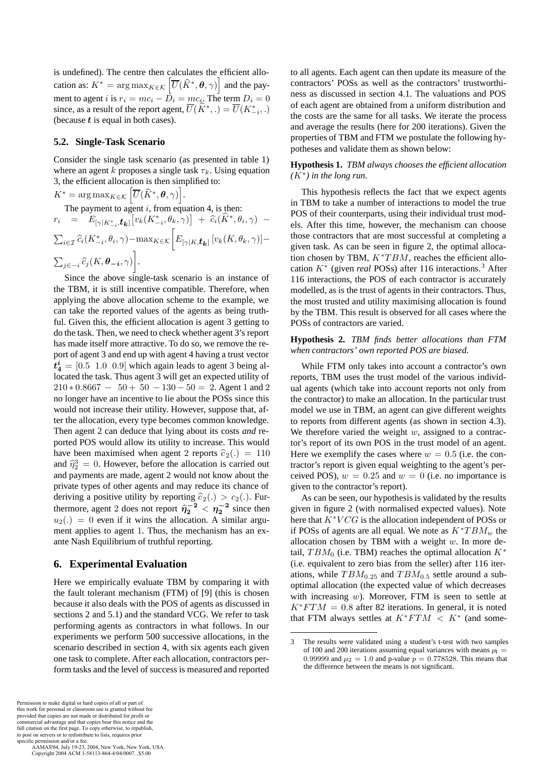is undefined). The centre then calculates the efficient allocation as:  $K^* = \arg \max_{K \in \mathcal{K}} \left[ \overline{U}(\widehat{K}^*, \theta, \gamma) \right]$  and the payment to agent *i* is  $r_i = mc_i - D_i = mc_i$ . The term  $D_i = 0$ <br>since as a result of the report agent  $\overline{U}(\widehat{K}^*) - \overline{U}(K^*)$ since, as a result of the report agent,  $U(K^*,.) = U(K^*_{-i},.)$ <br>(because t is equal in both cases) (because *t* is equal in both cases).

#### **5.2. Single-Task Scenario**

Consider the single task scenario (as presented in table 1) where an agent k proposes a single task  $\tau_k$ . Using equation 3, the efficient allocation is then simplified to:

 $K^* = \arg \max_{K \in \mathcal{K}} \left[ \overline{U}(\widehat{K}^*, \boldsymbol{\theta}, \gamma) \right].$ 

The payment to agent i, from equation 4, is then:<br> $\begin{bmatrix} - & F & \cdots & [n_V(K^*, \theta_V, \gamma)] & + \hat{c}(\hat{K}^*, \theta_V) \end{bmatrix}$  $r_i$  =  $E_{[\gamma|K_{-i}^*,t_{\boldsymbol{k}}]}[v_k(K_{-i}^*,\theta_k,\gamma)] + \widehat{c}_i(\widehat{K}^*,\theta_i,\gamma) \sum_{i\in\mathcal{I}} \widehat{c}_i(K_{-i}^*, \theta_i, \gamma) - \max_{K \in \mathcal{K}} \bigg[E_{\left[\gamma|K,\boldsymbol{t_{k}}\right]}\left[v_k(K,\theta_k,\gamma)\right] \sum_{j\in -i} \widehat{c}_j(K, \boldsymbol{\theta}_{-i}, \gamma)$ .

Since the above single-task scenario is an instance of the TBM, it is still incentive compatible. Therefore, when applying the above allocation scheme to the example, we can take the reported values of the agents as being truthful. Given this, the efficient allocation is agent 3 getting to do the task. Then, we need to check whether agent 3's report has made itself more attractive. To do so, we remove the report of agent 3 and end up with agent 4 having a trust vector  $t_4^i$  =  $[0.5 \ 1.0 \ 0.9]$  which again leads to agent 3 being al-<br>located the task. Thus agent 3 will get an expected utility of located the task. Thus agent 3 will get an expected utility of  $210 * 0.8667 - 50 + 50 - 130 - 50 = 2$ . Agent 1 and 2 no longer have an incentive to lie about the POSs since this would not increase their utility. However, suppose that, after the allocation, every type becomes common knowledge. Then agent 2 can deduce that lying about its costs *and* reported POS would allow its utility to increase. This would have been maximised when agent 2 reports  $\hat{c}_2(.) = 110$ and  $\hat{\eta}_2^3 = 0$ . However, before the allocation is carried out and payments are made, agent 2 would not know about the and payments are made, agent 2 would not know about the private types of other agents and may reduce its chance of deriving a positive utility by reporting  $\hat{c}_2(.) > c_2(.)$ . Furthermore, agent 2 does not report  $\hat{\eta}_2^{-2} < \eta_2^{-2}$  since then  $u_2(\cdot) = 0$  even if it wins the allocation. A similar argu $u_2(.) = 0$  even if it wins the allocation. A similar argument applies to agent 1. Thus, the mechanism has an exante Nash Equilibrium of truthful reporting.

## **6. Experimental Evaluation**

Here we empirically evaluate TBM by comparing it with the fault tolerant mechanism (FTM) of [9] (this is chosen because it also deals with the POS of agents as discussed in sections 2 and 5.1) and the standard VCG. We refer to task performing agents as contractors in what follows. In our experiments we perform 500 successive allocations, in the scenario described in section 4, with six agents each given one task to complete. After each allocation, contractors perform tasks and the level of success is measured and reported

 AAMAS'04, July 19-23, 2004, New York, New York, USA. Copyright 2004 ACM 1-58113-864-4/04/0007...\$5.00

to all agents. Each agent can then update its measure of the contractors' POSs as well as the contractors' trustworthiness as discussed in section 4.1. The valuations and POS of each agent are obtained from a uniform distribution and the costs are the same for all tasks. We iterate the process and average the results (here for 200 iterations). Given the properties of TBM and FTM we postulate the following hypotheses and validate them as shown below:

## **Hypothesis 1.** *TBM always chooses the efficient allocation*  $(K^*)$  *in the long run.*

This hypothesis reflects the fact that we expect agents in TBM to take a number of interactions to model the true POS of their counterparts, using their individual trust models. After this time, however, the mechanism can choose those contractors that are most successful at completing a given task. As can be seen in figure 2, the optimal allocation chosen by TBM,  $K^*TBM$ , reaches the efficient allocation  $K^*$  (given *real* POSs) after 116 interactions.<sup>3</sup> After 116 interactions, the POS of each contractor is accurately modelled, as is the trust of agents in their contractors. Thus, the most trusted and utility maximising allocation is found by the TBM. This result is observed for all cases where the POSs of contractors are varied.

## **Hypothesis 2.** *TBM finds better allocations than FTM when contractors' own reported POS are biased.*

While FTM only takes into account a contractor's own reports, TBM uses the trust model of the various individual agents (which take into account reports not only from the contractor) to make an allocation. In the particular trust model we use in TBM, an agent can give different weights to reports from different agents (as shown in section 4.3). We therefore varied the weight  $w$ , assigned to a contractor's report of its own POS in the trust model of an agent. Here we exemplify the cases where  $w = 0.5$  (i.e. the contractor's report is given equal weighting to the agent's perceived POS),  $w = 0.25$  and  $w = 0$  (i.e. no importance is given to the contractor's report).

As can be seen, our hypothesis is validated by the results given in figure 2 (with normalised expected values). Note here that  $K^*VCG$  is the allocation independent of POSs or if POSs of agents are all equal. We note as  $K^*TBM_w$  the allocation chosen by TBM with a weight  $w$ . In more detail,  $TBM_0$  (i.e. TBM) reaches the optimal allocation  $K^*$ (i.e. equivalent to zero bias from the seller) after 116 iterations, while  $TBM_{0.25}$  and  $TBM_{0.5}$  settle around a suboptimal allocation (the expected value of which decreases with increasing  $w$ ). Moreover, FTM is seen to settle at  $K^*FTM = 0.8$  after 82 iterations. In general, it is noted that FTM always settles at  $K^*FTM < K^*$  (and some-

<sup>3</sup> The results were validated using a student's t-test with two samples of 100 and 200 iterations assuming equal variances with means  $\mu_1 =$ 0.99999 and  $\mu_2 = 1.0$  and p-value  $p = 0.778528$ . This means that the difference between the means is not significant.